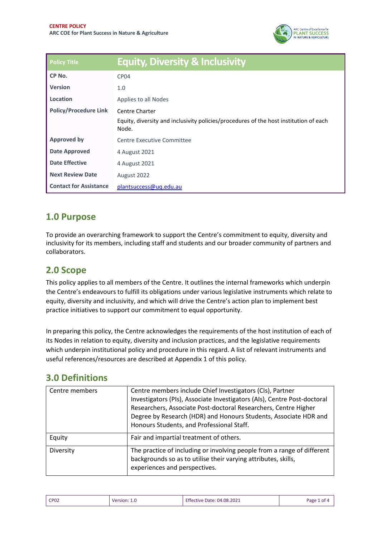

| <b>Policy Title</b>           | <b>Equity, Diversity &amp; Inclusivity</b>                                                                       |
|-------------------------------|------------------------------------------------------------------------------------------------------------------|
| CP No.                        | CP <sub>04</sub>                                                                                                 |
| <b>Version</b>                | 1.0                                                                                                              |
| Location                      | Applies to all Nodes                                                                                             |
| <b>Policy/Procedure Link</b>  | Centre Charter<br>Equity, diversity and inclusivity policies/procedures of the host institution of each<br>Node. |
| <b>Approved by</b>            | Centre Executive Committee                                                                                       |
| <b>Date Approved</b>          | 4 August 2021                                                                                                    |
| <b>Date Effective</b>         | 4 August 2021                                                                                                    |
| <b>Next Review Date</b>       | August 2022                                                                                                      |
| <b>Contact for Assistance</b> | plantsuccess@uq.edu.au                                                                                           |

# **1.0 Purpose**

To provide an overarching framework to support the Centre's commitment to equity, diversity and inclusivity for its members, including staff and students and our broader community of partners and collaborators.

# **2.0 Scope**

This policy applies to all members of the Centre. It outlines the internal frameworks which underpin the Centre's endeavours to fulfill its obligations under various legislative instruments which relate to equity, diversity and inclusivity, and which will drive the Centre's action plan to implement best practice initiatives to support our commitment to equal opportunity.

In preparing this policy, the Centre acknowledges the requirements of the host institution of each of its Nodes in relation to equity, diversity and inclusion practices, and the legislative requirements which underpin institutional policy and procedure in this regard. A list of relevant instruments and useful references/resources are described at Appendix 1 of this policy.

# **3.0 Definitions**

| Centre members | Centre members include Chief Investigators (CIs), Partner<br>Investigators (PIs), Associate Investigators (AIs), Centre Post-doctoral<br>Researchers, Associate Post-doctoral Researchers, Centre Higher<br>Degree by Research (HDR) and Honours Students, Associate HDR and<br>Honours Students, and Professional Staff. |
|----------------|---------------------------------------------------------------------------------------------------------------------------------------------------------------------------------------------------------------------------------------------------------------------------------------------------------------------------|
| Equity         | Fair and impartial treatment of others.                                                                                                                                                                                                                                                                                   |
| Diversity      | The practice of including or involving people from a range of different<br>backgrounds so as to utilise their varying attributes, skills,<br>experiences and perspectives.                                                                                                                                                |

| CP <sub>02</sub><br>Version: | <b>Effective Date: 04.08.2021</b> | Page<br>ി |
|------------------------------|-----------------------------------|-----------|
|------------------------------|-----------------------------------|-----------|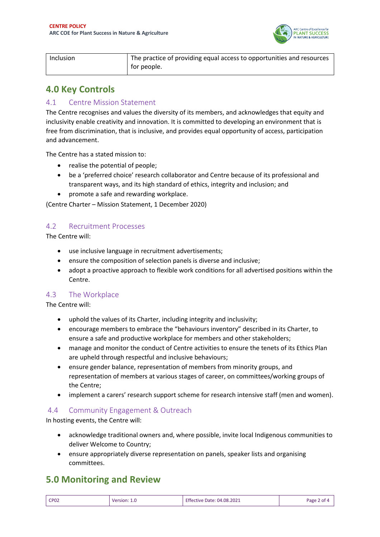

| Inclusion | The practice of providing equal access to opportunities and resources |
|-----------|-----------------------------------------------------------------------|
|           | for people.                                                           |

### **4.0 Key Controls**

#### 4.1 Centre Mission Statement

The Centre recognises and values the diversity of its members, and acknowledges that equity and inclusivity enable creativity and innovation. It is committed to developing an environment that is free from discrimination, that is inclusive, and provides equal opportunity of access, participation and advancement.

The Centre has a stated mission to:

- realise the potential of people;
- be a 'preferred choice' research collaborator and Centre because of its professional and transparent ways, and its high standard of ethics, integrity and inclusion; and
- promote a safe and rewarding workplace.

(Centre Charter – Mission Statement, 1 December 2020)

#### 4.2 Recruitment Processes

The Centre will:

- use inclusive language in recruitment advertisements;
- ensure the composition of selection panels is diverse and inclusive;
- adopt a proactive approach to flexible work conditions for all advertised positions within the Centre.

#### 4.3 The Workplace

The Centre will:

- uphold the values of its Charter, including integrity and inclusivity;
- encourage members to embrace the "behaviours inventory" described in its Charter, to ensure a safe and productive workplace for members and other stakeholders;
- manage and monitor the conduct of Centre activities to ensure the tenets of its Ethics Plan are upheld through respectful and inclusive behaviours;
- ensure gender balance, representation of members from minority groups, and representation of members at various stages of career, on committees/working groups of the Centre;
- implement a carers' research support scheme for research intensive staff (men and women).

#### 4.4 Community Engagement & Outreach

In hosting events, the Centre will:

- acknowledge traditional owners and, where possible, invite local Indigenous communities to deliver Welcome to Country;
- ensure appropriately diverse representation on panels, speaker lists and organising committees.

### **5.0 Monitoring and Review**

| CP <sub>02</sub><br><b>Version: 1.</b> | <b>Effective Date: 04.08.2021</b> | Page 2 of 4 |
|----------------------------------------|-----------------------------------|-------------|
|----------------------------------------|-----------------------------------|-------------|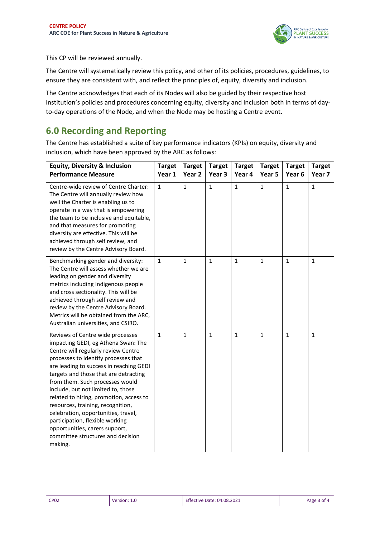

This CP will be reviewed annually.

The Centre will systematically review this policy, and other of its policies, procedures, guidelines, to ensure they are consistent with, and reflect the principles of, equity, diversity and inclusion.

The Centre acknowledges that each of its Nodes will also be guided by their respective host institution's policies and procedures concerning equity, diversity and inclusion both in terms of dayto-day operations of the Node, and when the Node may be hosting a Centre event.

# **6.0 Recording and Reporting**

The Centre has established a suite of key performance indicators (KPIs) on equity, diversity and inclusion, which have been approved by the ARC as follows:

| <b>Equity, Diversity &amp; Inclusion</b><br><b>Performance Measure</b>                                                                                                                                                                                                                                                                                                                                                                                                                                                                                          | <b>Target</b><br>Year 1 | <b>Target</b><br>Year 2 | <b>Target</b><br>Year <sub>3</sub> | <b>Target</b><br>Year 4 | <b>Target</b><br>Year 5 | <b>Target</b><br>Year <sub>6</sub> | <b>Target</b><br>Year 7 |
|-----------------------------------------------------------------------------------------------------------------------------------------------------------------------------------------------------------------------------------------------------------------------------------------------------------------------------------------------------------------------------------------------------------------------------------------------------------------------------------------------------------------------------------------------------------------|-------------------------|-------------------------|------------------------------------|-------------------------|-------------------------|------------------------------------|-------------------------|
| Centre-wide review of Centre Charter:<br>The Centre will annually review how<br>well the Charter is enabling us to<br>operate in a way that is empowering<br>the team to be inclusive and equitable,<br>and that measures for promoting<br>diversity are effective. This will be<br>achieved through self review, and<br>review by the Centre Advisory Board.                                                                                                                                                                                                   | $\mathbf{1}$            | $\mathbf{1}$            | $\mathbf{1}$                       | $\mathbf{1}$            | $\mathbf{1}$            | $\mathbf{1}$                       | $\mathbf{1}$            |
| Benchmarking gender and diversity:<br>The Centre will assess whether we are<br>leading on gender and diversity<br>metrics including Indigenous people<br>and cross sectionality. This will be<br>achieved through self review and<br>review by the Centre Advisory Board.<br>Metrics will be obtained from the ARC,<br>Australian universities, and CSIRO.                                                                                                                                                                                                      | $\mathbf{1}$            | $\mathbf{1}$            | $\mathbf{1}$                       | $\mathbf{1}$            | $\mathbf{1}$            | $\mathbf{1}$                       | $\mathbf{1}$            |
| Reviews of Centre wide processes<br>impacting GEDI, eg Athena Swan: The<br>Centre will regularly review Centre<br>processes to identify processes that<br>are leading to success in reaching GEDI<br>targets and those that are detracting<br>from them. Such processes would<br>include, but not limited to, those<br>related to hiring, promotion, access to<br>resources, training, recognition,<br>celebration, opportunities, travel,<br>participation, flexible working<br>opportunities, carers support,<br>committee structures and decision<br>making. | $\mathbf{1}$            | $\mathbf{1}$            | $\mathbf{1}$                       | $\mathbf{1}$            | $\mathbf{1}$            | $\mathbf{1}$                       | $\mathbf{1}$            |

| <b>CP02</b><br>Version: 1.0 | <b>Effective Date: 04.08.2021</b> | Page 3 of 4 |
|-----------------------------|-----------------------------------|-------------|
|-----------------------------|-----------------------------------|-------------|